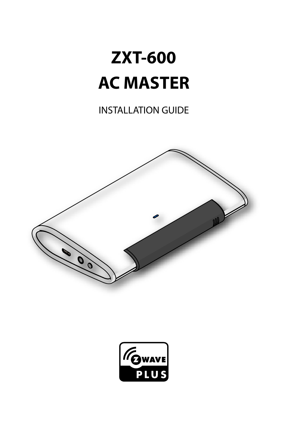# **ZXT-600 AC MASTER**

INSTALLATION GUIDE



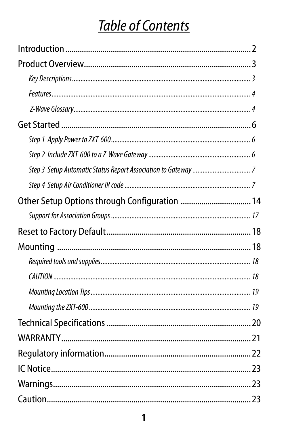## **Table of Contents**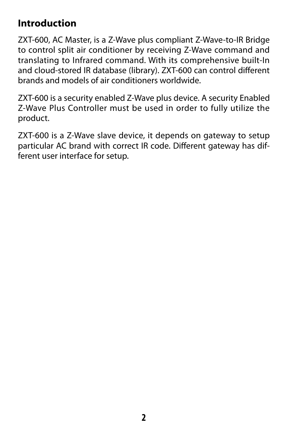### <span id="page-3-0"></span>**Introduction**

ZXT-600, AC Master, is a Z-Wave plus compliant Z-Wave-to-IR Bridge to control split air conditioner by receiving Z-Wave command and translating to Infrared command. With its comprehensive built-In and cloud-stored IR database (library). ZXT-600 can control different brands and models of air conditioners worldwide.

ZXT-600 is a security enabled Z-Wave plus device. A security Enabled Z-Wave Plus Controller must be used in order to fully utilize the product.

ZXT-600 is a Z-Wave slave device, it depends on gateway to setup particular AC brand with correct IR code. Different gateway has different user interface for setup.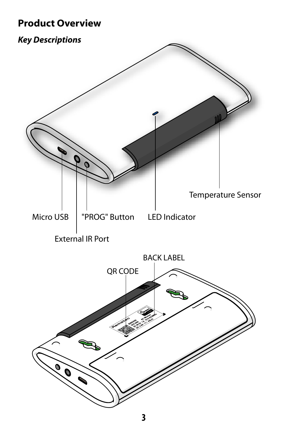### <span id="page-4-0"></span>**Product Overview**

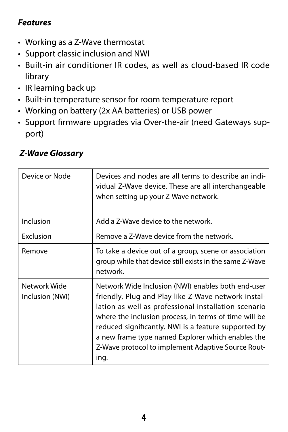#### <span id="page-5-0"></span>*Features*

- Working as a Z-Wave thermostat
- Support classic inclusion and NWI
- Built-in air conditioner IR codes, as well as cloud-based IR code library
- IR learning back up
- Built-in temperature sensor for room temperature report
- Working on battery (2x AA batteries) or USB power
- Support firmware upgrades via Over-the-air (need Gateways support)

| Device or Node                  | Devices and nodes are all terms to describe an indi-<br>vidual Z-Wave device. These are all interchangeable<br>when setting up your Z-Wave network.                                                                                                                                                                                                                                                   |
|---------------------------------|-------------------------------------------------------------------------------------------------------------------------------------------------------------------------------------------------------------------------------------------------------------------------------------------------------------------------------------------------------------------------------------------------------|
| Inclusion                       | Add a Z-Wave device to the network.                                                                                                                                                                                                                                                                                                                                                                   |
| Exclusion                       | Remove a Z-Wave device from the network.                                                                                                                                                                                                                                                                                                                                                              |
| Remove                          | To take a device out of a group, scene or association<br>group while that device still exists in the same Z-Wave<br>network.                                                                                                                                                                                                                                                                          |
| Network Wide<br>Inclusion (NWI) | Network Wide Inclusion (NWI) enables both end-user<br>friendly, Plug and Play like Z-Wave network instal-<br>lation as well as professional installation scenario<br>where the inclusion process, in terms of time will be<br>reduced significantly. NWI is a feature supported by<br>a new frame type named Explorer which enables the<br>Z-Wave protocol to implement Adaptive Source Rout-<br>ing. |

#### *Z-Wave Glossary*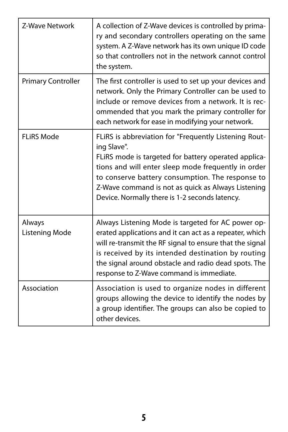| Z-Wave Network            | A collection of Z-Wave devices is controlled by prima-<br>ry and secondary controllers operating on the same<br>system. A Z-Wave network has its own unique ID code<br>so that controllers not in the network cannot control<br>the system.                                                                                                     |
|---------------------------|-------------------------------------------------------------------------------------------------------------------------------------------------------------------------------------------------------------------------------------------------------------------------------------------------------------------------------------------------|
| <b>Primary Controller</b> | The first controller is used to set up your devices and<br>network. Only the Primary Controller can be used to<br>include or remove devices from a network. It is rec-<br>ommended that you mark the primary controller for<br>each network for ease in modifying your network.                                                                 |
| <b>FLiRS Mode</b>         | FLIRS is abbreviation for "Frequently Listening Rout-<br>ing Slave".<br>FLIRS mode is targeted for battery operated applica-<br>tions and will enter sleep mode frequently in order<br>to conserve battery consumption. The response to<br>Z-Wave command is not as quick as Always Listening<br>Device. Normally there is 1-2 seconds latency. |
| Always<br>Listening Mode  | Always Listening Mode is targeted for AC power op-<br>erated applications and it can act as a repeater, which<br>will re-transmit the RF signal to ensure that the signal<br>is received by its intended destination by routing<br>the signal around obstacle and radio dead spots. The<br>response to Z-Wave command is immediate.             |
| Association               | Association is used to organize nodes in different<br>groups allowing the device to identify the nodes by<br>a group identifier. The groups can also be copied to<br>other devices.                                                                                                                                                             |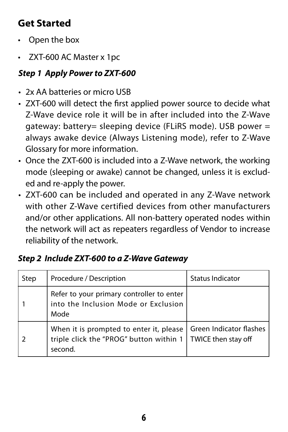### <span id="page-7-0"></span>**Get Started**

- Open the box
- ZXT-600 AC Master x 1pc

### *Step 1 Apply Power to ZXT-600*

- 2x AA batteries or micro USB
- ZXT-600 will detect the first applied power source to decide what Z-Wave device role it will be in after included into the Z-Wave gateway: battery= sleeping device (FLiRS mode). USB power = always awake device (Always Listening mode), refer to Z-Wave Glossary for more information.
- Once the ZXT-600 is included into a Z-Wave network, the working mode (sleeping or awake) cannot be changed, unless it is excluded and re-apply the power.
- ZXT-600 can be included and operated in any Z-Wave network with other 7-Wave certified devices from other manufacturers and/or other applications. All non-battery operated nodes within the network will act as repeaters regardless of Vendor to increase reliability of the network.

| Step | Procedure / Description                                                                                                                       | <b>Status Indicator</b> |
|------|-----------------------------------------------------------------------------------------------------------------------------------------------|-------------------------|
|      | Refer to your primary controller to enter<br>into the Inclusion Mode or Exclusion<br>Mode                                                     |                         |
|      | When it is prompted to enter it, please   Green Indicator flashes<br>triple click the "PROG" button within 1   TWICE then stay off<br>second. |                         |

### *Step 2 Include ZXT-600 to a Z-Wave Gateway*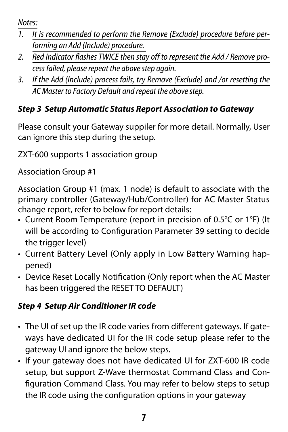<span id="page-8-0"></span>*Notes:*

- *1. It is recommended to perform the Remove (Exclude) procedure before performing an Add (Include) procedure.*
- *2. Red Indicator flashes TWICE then stay off to represent the Add / Remove process failed, please repeat the above step again.*
- *3. If the Add (Include) process fails, try Remove (Exclude) and /or resetting the AC Master to Factory Default and repeat the above step.*

### *Step 3 Setup Automatic Status Report Association to Gateway*

Please consult your Gateway suppiler for more detail. Normally, User can ignore this step during the setup.

ZXT-600 supports 1 association group

Association Group #1

Association Group #1 (max. 1 node) is default to associate with the primary controller (Gateway/Hub/Controller) for AC Master Status change report, refer to below for report details:

- Current Room Temperature (report in precision of 0.5°C or 1°F) (It will be according to Configuration Parameter 39 setting to decide the trigger level)
- Current Battery Level (Only apply in Low Battery Warning happened)
- Device Reset Locally Notification (Only report when the AC Master has been triggered the RESET TO DEFAULT)

### *Step 4 Setup Air Conditioner IR code*

- The UI of set up the IR code varies from different gateways. If gateways have dedicated UI for the IR code setup please refer to the gateway UI and ignore the below steps.
- If your gateway does not have dedicated UI for ZXT-600 IR code setup, but support Z-Wave thermostat Command Class and Configuration Command Class. You may refer to below steps to setup the IR code using the configuration options in your gateway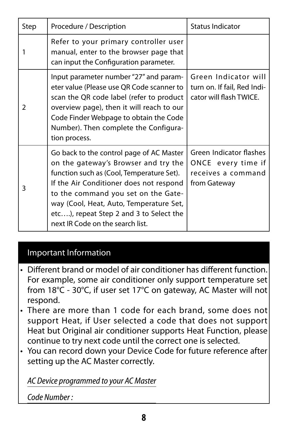| Step | Procedure / Description                                                                                                                                                                                                                                                                                                                   | <b>Status Indicator</b>                                                             |
|------|-------------------------------------------------------------------------------------------------------------------------------------------------------------------------------------------------------------------------------------------------------------------------------------------------------------------------------------------|-------------------------------------------------------------------------------------|
|      | Refer to your primary controller user<br>manual, enter to the browser page that<br>can input the Configuration parameter.                                                                                                                                                                                                                 |                                                                                     |
| 2    | Input parameter number "27" and param-<br>eter value (Please use QR Code scanner to<br>scan the QR code label (refer to product<br>overview page), then it will reach to our<br>Code Finder Webpage to obtain the Code<br>Number). Then complete the Configura-<br>tion process.                                                          | Green Indicator will<br>turn on. If fail, Red Indi-<br>cator will flash TWICE.      |
| 3    | Go back to the control page of AC Master<br>on the gateway's Browser and try the<br>function such as (Cool, Temperature Set).<br>If the Air Conditioner does not respond<br>to the command you set on the Gate-<br>way (Cool, Heat, Auto, Temperature Set,<br>etc), repeat Step 2 and 3 to Select the<br>next IR Code on the search list. | Green Indicator flashes<br>ONCE every time if<br>receives a command<br>from Gateway |

#### Important Information

- Different brand or model of air conditioner has different function. For example, some air conditioner only support temperature set from 18°C - 30°C, if user set 17°C on gateway, AC Master will not respond.
- There are more than 1 code for each brand, some does not support Heat, if User selected a code that does not support Heat but Original air conditioner supports Heat Function, please continue to try next code until the correct one is selected.
- You can record down your Device Code for future reference after setting up the AC Master correctly.

*AC Device programmed to your AC Master*

*Code Number :*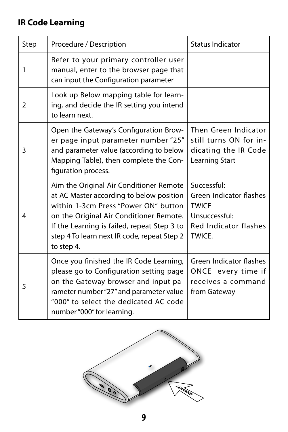### **IR Code Learning**

| Step           | Procedure / Description                                                                                                                                                                                                                                                            | Status Indicator                                                                                                  |
|----------------|------------------------------------------------------------------------------------------------------------------------------------------------------------------------------------------------------------------------------------------------------------------------------------|-------------------------------------------------------------------------------------------------------------------|
| 1              | Refer to your primary controller user<br>manual, enter to the browser page that<br>can input the Configuration parameter                                                                                                                                                           |                                                                                                                   |
| $\overline{2}$ | Look up Below mapping table for learn-<br>ing, and decide the IR setting you intend<br>to learn next.                                                                                                                                                                              |                                                                                                                   |
| 3              | Open the Gateway's Configuration Brow-<br>er page input parameter number "25"<br>and parameter value (according to below<br>Mapping Table), then complete the Con-<br>figuration process.                                                                                          | Then Green Indicator<br>still turns ON for in-<br>dicating the IR Code<br>Learning Start                          |
| 4              | Aim the Original Air Conditioner Remote<br>at AC Master according to below position<br>within 1-3cm Press "Power ON" button<br>on the Original Air Conditioner Remote.<br>If the Learning is failed, repeat Step 3 to<br>step 4 To learn next IR code, repeat Step 2<br>to step 4. | Successful:<br>Green Indicator flashes<br><b>TWICE</b><br>Unsuccessful:<br><b>Red Indicator flashes</b><br>TWICE. |
| 5              | Once you finished the IR Code Learning,<br>please go to Configuration setting page<br>on the Gateway browser and input pa-<br>rameter number "27" and parameter value<br>"000" to select the dedicated AC code<br>number "000" for learning.                                       | Green Indicator flashes<br>ONCE every time if<br>receives a command<br>from Gateway                               |

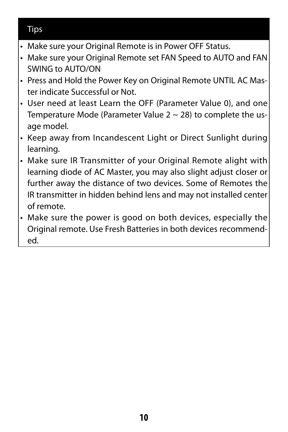#### Tips

- Make sure your Original Remote is in Power OFF Status.
- Make sure your Original Remote set FAN Speed to AUTO and FAN SWING to AUTO/ON
- Press and Hold the Power Key on Original Remote UNTIL AC Master indicate Successful or Not.
- User need at least Learn the OFF (Parameter Value 0), and one Temperature Mode (Parameter Value 2 ~ 28) to complete the usage model.
- Keep away from Incandescent Light or Direct Sunlight during learning.
- Make sure IR Transmitter of your Original Remote alight with learning diode of AC Master, you may also slight adjust closer or further away the distance of two devices. Some of Remotes the IR transmitter in hidden behind lens and may not installed center of remote.
- Make sure the power is good on both devices, especially the Original remote. Use Fresh Batteries in both devices recommended.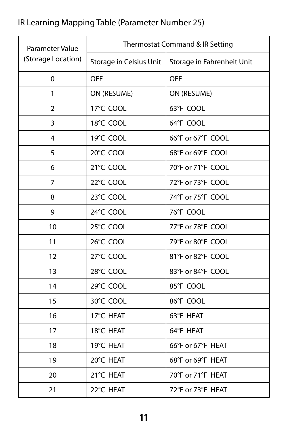### IR Learning Mapping Table (Parameter Number 25)

| Parameter Value    | Thermostat Command & IR Setting |                            |  |
|--------------------|---------------------------------|----------------------------|--|
| (Storage Location) | Storage in Celsius Unit         | Storage in Fahrenheit Unit |  |
| $\Omega$           | OFF                             | OFF                        |  |
| $\mathbf{1}$       | ON (RESUME)                     | ON (RESUME)                |  |
| $\overline{2}$     | 17°C COOL                       | 63°F COOL                  |  |
| 3                  | 18°C COOL                       | 64°F COOL                  |  |
| 4                  | 19°C COOL                       | 66°F or 67°F COOL          |  |
| 5                  | 20°C COOL                       | 68°F or 69°F COOL          |  |
| 6                  | 21°C COOL                       | 70°F or 71°F COOL          |  |
| $\overline{7}$     | 22°C COOL                       | 72°F or 73°F COOL          |  |
| 8                  | 23°C COOL                       | 74°F or 75°F COOL          |  |
| 9                  | 24°C COOL                       | 76°F COOL                  |  |
| 10                 | 25°C COOL                       | 77°F or 78°F COOL          |  |
| 11                 | 26°C COOL                       | 79°F or 80°F COOL          |  |
| 12                 | 27°C COOL                       | 81°F or 82°F COOL          |  |
| 13                 | 28°C COOL                       | 83°F or 84°F COOL          |  |
| 14                 | 29°C COOL                       | 85°F COOL                  |  |
| 15                 | 30°C COOL                       | 86°F COOL                  |  |
| 16                 | 17°C HEAT                       | 63°F HEAT                  |  |
| 17                 | 18°C HEAT                       | 64°F HEAT                  |  |
| 18                 | 19°C HEAT                       | 66°F or 67°F HEAT          |  |
| 19                 | 20°C HEAT                       | 68°F or 69°F HEAT          |  |
| 20                 | 21°C HEAT                       | 70°F or 71°F HEAT          |  |
| 21                 | 22°C HEAT                       | 72°F or 73°F HEAT          |  |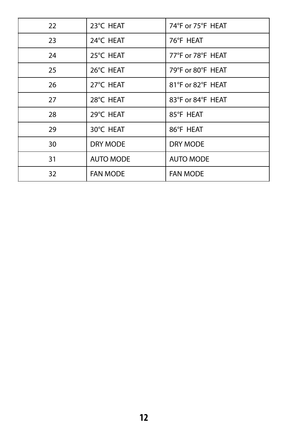| 22 | 23°C HEAT        | 74°F or 75°F HEAT |
|----|------------------|-------------------|
| 23 | 24°C HEAT        | 76°F HEAT         |
| 24 | 25°C HEAT        | 77°F or 78°F HEAT |
| 25 | 26°C HEAT        | 79°F or 80°F HEAT |
| 26 | 27°C HEAT        | 81°F or 82°F HEAT |
| 27 | 28°C HEAT        | 83°F or 84°F HEAT |
| 28 | 29°C HEAT        | 85°F HEAT         |
| 29 | 30°C HEAT        | 86°F HEAT         |
| 30 | DRY MODE         | DRY MODE          |
| 31 | <b>AUTO MODE</b> | <b>AUTO MODE</b>  |
| 32 | <b>FAN MODE</b>  | <b>FAN MODE</b>   |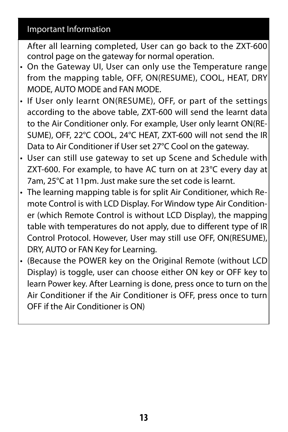#### Important Information

After all learning completed, User can go back to the ZXT-600 control page on the gateway for normal operation.

- On the Gateway UI, User can only use the Temperature range from the mapping table, OFF, ON(RESUME), COOL, HEAT, DRY MODE, AUTO MODE and FAN MODE.
- If User only learnt ON(RESUME), OFF, or part of the settings according to the above table, ZXT-600 will send the learnt data to the Air Conditioner only. For example, User only learnt ON(RE-SUME), OFF, 22°C COOL, 24°C HEAT, ZXT-600 will not send the IR Data to Air Conditioner if User set 27°C Cool on the gateway.
- User can still use gateway to set up Scene and Schedule with ZXT-600. For example, to have AC turn on at 23°C every day at 7am, 25°C at 11pm. Just make sure the set code is learnt.
- The learning mapping table is for split Air Conditioner, which Remote Control is with LCD Display. For Window type Air Conditioner (which Remote Control is without LCD Display), the mapping table with temperatures do not apply, due to different type of IR Control Protocol. However, User may still use OFF, ON(RESUME), DRY, AUTO or FAN Key for Learning.
- (Because the POWER key on the Original Remote (without LCD Display) is toggle, user can choose either ON key or OFF key to learn Power key. After Learning is done, press once to turn on the Air Conditioner if the Air Conditioner is OFF, press once to turn OFF if the Air Conditioner is ON)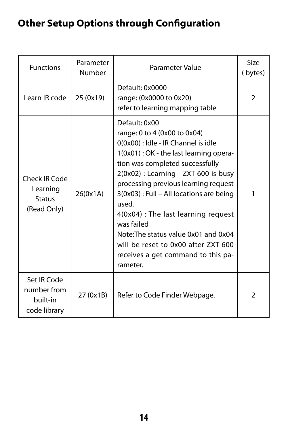### <span id="page-15-0"></span>**Other Setup Options through Configuration**

| <b>Functions</b>                                       | Parameter<br>Number | Parameter Value                                                                                                                                                                                                                                                                                                                                                                                                                                                                                | Size<br>(bytes)         |
|--------------------------------------------------------|---------------------|------------------------------------------------------------------------------------------------------------------------------------------------------------------------------------------------------------------------------------------------------------------------------------------------------------------------------------------------------------------------------------------------------------------------------------------------------------------------------------------------|-------------------------|
| Learn IR code                                          | 25 (0x19)           | Default: 0x0000<br>range: (0x0000 to 0x20)<br>refer to learning mapping table                                                                                                                                                                                                                                                                                                                                                                                                                  | $\mathcal{P}$           |
| Check IR Code<br>Learning<br>Status<br>(Read Only)     | 26(0x1A)            | Default: 0x00<br>range: 0 to 4 (0x00 to 0x04)<br>0(0x00) : Idle - IR Channel is idle<br>1(0x01): OK - the last learning opera-<br>tion was completed successfully<br>$2(0x02)$ : Learning - ZXT-600 is busy<br>processing previous learning request<br>3(0x03) : Full - All locations are being<br>used.<br>4(0x04) : The last learning request<br>was failed<br>Note: The status value 0x01 and 0x04<br>will be reset to 0x00 after ZXT-600<br>receives a get command to this pa-<br>rameter. |                         |
| Set IR Code<br>number from<br>built-in<br>code library | 27 (0x1B)           | Refer to Code Finder Webpage.                                                                                                                                                                                                                                                                                                                                                                                                                                                                  | $\overline{\mathbf{c}}$ |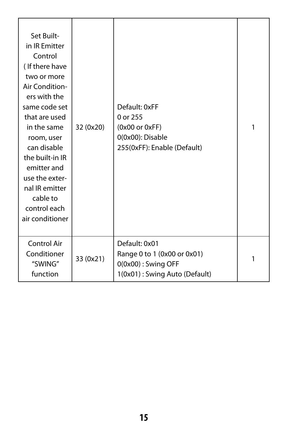| Set Built-<br>in IR Emitter<br>Control<br>(If there have<br>two or more<br>Air Condition-<br>ers with the<br>same code set<br>that are used<br>in the same<br>room, user<br>can disable<br>the built-in IR<br>emitter and<br>use the exter-<br>nal IR emitter<br>cable to<br>control each<br>air conditioner | 32 (0x20) | Default: 0xFF<br>0 or 255<br>(0x00 or 0xFF)<br>0(0x00): Disable<br>255(0xFF): Enable (Default)         | 1 |
|--------------------------------------------------------------------------------------------------------------------------------------------------------------------------------------------------------------------------------------------------------------------------------------------------------------|-----------|--------------------------------------------------------------------------------------------------------|---|
| Control Air<br>Conditioner<br>"SWING"<br>function                                                                                                                                                                                                                                                            | 33 (0x21) | Default: 0x01<br>Range 0 to 1 (0x00 or 0x01)<br>$0(0x00)$ : Swing OFF<br>1(0x01): Swing Auto (Default) | 1 |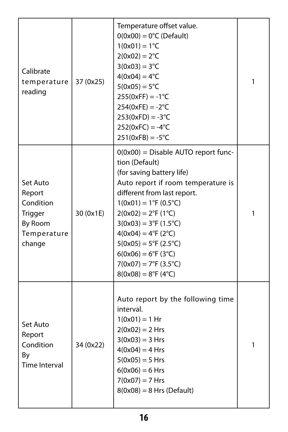| Calibrate<br>temperature<br>reading                                            | 37 (0x25) | Temperature offset value.<br>$O(0x00) = 0^{\circ}C$ (Default)<br>$1(0x01) = 1^{\circ}C$<br>$2(0x02) = 2^{\circ}C$<br>$3(0x03) = 3^{\circ}C$<br>$4(0x04) = 4^{\circ}C$<br>$5(0x05) = 5^{\circ}C$<br>$255(0xFF) = -1°C$<br>$254(0xFE) = -2°C$<br>$253(0xFD) = -3°C$<br>$252(0xFC) = -4°C$<br>$251(0xFB) = -5^{\circ}C$                                                                                                                                    | 1 |
|--------------------------------------------------------------------------------|-----------|---------------------------------------------------------------------------------------------------------------------------------------------------------------------------------------------------------------------------------------------------------------------------------------------------------------------------------------------------------------------------------------------------------------------------------------------------------|---|
| Set Auto<br>Report<br>Condition<br>Trigger<br>By Room<br>Temperature<br>change | 30 (0x1E) | $O(0x00)$ = Disable AUTO report func-<br>tion (Default)<br>(for saving battery life)<br>Auto report if room temperature is<br>different from last report.<br>$1(0x01) = 1°F (0.5°C)$<br>$2(0x02) = 2^{\circ}F(1^{\circ}C)$<br>$3(0x03) = 3°F (1.5°C)$<br>$4(0x04) = 4^{\circ}F(2^{\circ}C)$<br>$5(0x05) = 5^{\circ}F(2.5^{\circ}C)$<br>$6(0x06) = 6^{\circ}F(3^{\circ}C)$<br>$7(0x07) = 7^{\circ}F(3.5^{\circ}C)$<br>$8(0x08) = 8^{\circ}F(4^{\circ}C)$ | 1 |
| Set Auto<br>Report<br>Condition<br>By<br>Time Interval                         | 34 (0x22) | Auto report by the following time<br>interval.<br>$1(0x01) = 1$ Hr<br>$2(0x02) = 2$ Hrs<br>$3(0x03) = 3 Hrs$<br>$4(0x04) = 4$ Hrs<br>$5(0x05) = 5$ Hrs<br>$6(0x06) = 6$ Hrs<br>$7(0x07) = 7$ Hrs<br>$8(0x08) = 8$ Hrs (Default)                                                                                                                                                                                                                         | 1 |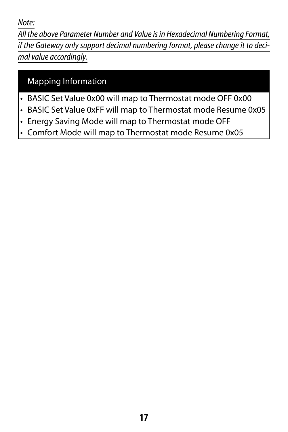<span id="page-18-0"></span>*Note:*

*All the above Parameter Number and Value is in Hexadecimal Numbering Format, if the Gateway only support decimal numbering format, please change it to decimal value accordingly.*

#### Mapping Information

- BASIC Set Value 0x00 will map to Thermostat mode OFF 0x00
- BASIC Set Value 0xFF will map to Thermostat mode Resume 0x05
- Energy Saving Mode will map to Thermostat mode OFF
- Comfort Mode will map to Thermostat mode Resume 0x05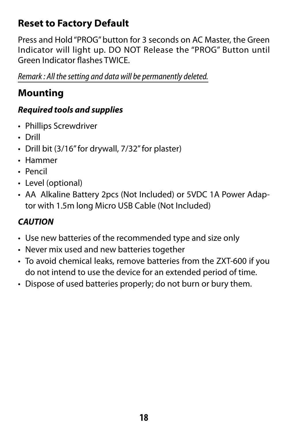### <span id="page-19-0"></span>**Reset to Factory Default**

Press and Hold "PROG" button for 3 seconds on AC Master, the Green Indicator will light up. DO NOT Release the "PROG" Button until Green Indicator flashes TWICE.

*Remark : All the setting and data will be permanently deleted.*

### **Mounting**

#### *Required tools and supplies*

- Phillips Screwdriver
- Drill
- Drill bit (3/16" for drywall, 7/32" for plaster)
- Hammer
- Pencil
- Level (optional)
- AA Alkaline Battery 2pcs (Not Included) or 5VDC 1A Power Adaptor with 1.5m long Micro USB Cable (Not Included)

### *CAUTION*

- Use new batteries of the recommended type and size only
- Never mix used and new batteries together
- To avoid chemical leaks, remove batteries from the ZXT-600 if you do not intend to use the device for an extended period of time.
- Dispose of used batteries properly; do not burn or bury them.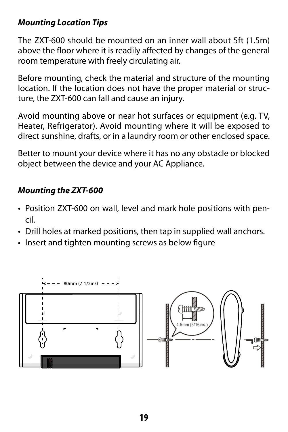#### <span id="page-20-0"></span>*Mounting Location Tips*

The ZXT-600 should be mounted on an inner wall about 5ft (1.5m) above the floor where it is readily affected by changes of the general room temperature with freely circulating air.

Before mounting, check the material and structure of the mounting location. If the location does not have the proper material or structure, the ZXT-600 can fall and cause an injury.

Avoid mounting above or near hot surfaces or equipment (e.g. TV, Heater, Refrigerator). Avoid mounting where it will be exposed to direct sunshine, drafts, or in a laundry room or other enclosed space.

Better to mount your device where it has no any obstacle or blocked object between the device and your AC Appliance.

#### *Mounting the ZXT-600*

- Position ZXT-600 on wall, level and mark hole positions with pencil.
- Drill holes at marked positions, then tap in supplied wall anchors.
- Insert and tighten mounting screws as below figure

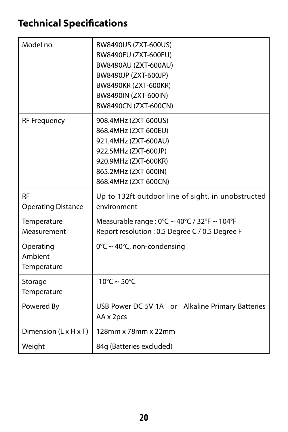### <span id="page-21-0"></span>**Technical Specifications**

| Model no.                              | BW8490US (ZXT-600US)<br>BW8490EU (ZXT-600EU)<br>BW8490AU (ZXT-600AU)<br>BW8490JP (ZXT-600JP)<br>BW8490KR (ZXT-600KR)<br>BW8490IN (ZXT-600IN)<br>BW8490CN (ZXT-600CN) |
|----------------------------------------|----------------------------------------------------------------------------------------------------------------------------------------------------------------------|
| <b>RF Frequency</b>                    | 908.4MHz (ZXT-600US)<br>868.4MHz (ZXT-600EU)<br>921.4MHz (ZXT-600AU)<br>922.5MHz (ZXT-600JP)<br>920.9MHz (ZXT-600KR)<br>865.2MHz (ZXT-600IN)<br>868.4MHz (ZXT-600CN) |
| <b>RF</b><br><b>Operating Distance</b> | Up to 132ft outdoor line of sight, in unobstructed<br>environment                                                                                                    |
| Temperature<br>Measurement             | Measurable range: 0°C ~ 40°C / 32°F ~ 104°F<br>Report resolution : 0.5 Degree C / 0.5 Degree F                                                                       |
| Operating<br>Ambient<br>Temperature    | $0^{\circ}$ C ~ 40°C, non-condensing                                                                                                                                 |
| Storage<br>Temperature                 | $-10^{\circ}$ C ~ 50°C                                                                                                                                               |
| Powered By                             | USB Power DC 5V 1A or Alkaline Primary Batteries<br>AA x 2pcs                                                                                                        |
| Dimension (L x H x T)                  | 128mm x 78mm x 22mm                                                                                                                                                  |
| Weight                                 | 84q (Batteries excluded)                                                                                                                                             |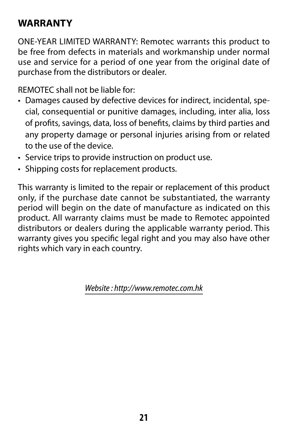### <span id="page-22-0"></span>**WARRANTY**

ONE-YEAR LIMITED WARRANTY: Remotec warrants this product to be free from defects in materials and workmanship under normal use and service for a period of one year from the original date of purchase from the distributors or dealer.

REMOTEC shall not be liable for:

- Damages caused by defective devices for indirect, incidental, special, consequential or punitive damages, including, inter alia, loss of profits, savings, data, loss of benefits, claims by third parties and any property damage or personal injuries arising from or related to the use of the device.
- Service trips to provide instruction on product use.
- Shipping costs for replacement products.

This warranty is limited to the repair or replacement of this product only, if the purchase date cannot be substantiated, the warranty period will begin on the date of manufacture as indicated on this product. All warranty claims must be made to Remotec appointed distributors or dealers during the applicable warranty period. This warranty gives you specific legal right and you may also have other rights which vary in each country.

*Website : http://www.remotec.com.hk*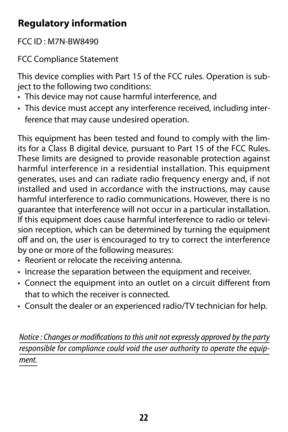### <span id="page-23-0"></span>**Regulatory information**

FCC ID : M7N-BW8490

FCC Compliance Statement

This device complies with Part 15 of the FCC rules. Operation is subject to the following two conditions:

- This device may not cause harmful interference, and
- This device must accept any interference received, including interference that may cause undesired operation.

This equipment has been tested and found to comply with the limits for a Class B digital device, pursuant to Part 15 of the FCC Rules. These limits are designed to provide reasonable protection against harmful interference in a residential installation. This equipment generates, uses and can radiate radio frequency energy and, if not installed and used in accordance with the instructions, may cause harmful interference to radio communications. However, there is no guarantee that interference will not occur in a particular installation. If this equipment does cause harmful interference to radio or television reception, which can be determined by turning the equipment off and on, the user is encouraged to try to correct the interference by one or more of the following measures:

- Reorient or relocate the receiving antenna.
- Increase the separation between the equipment and receiver.
- Connect the equipment into an outlet on a circuit different from that to which the receiver is connected.
- Consult the dealer or an experienced radio/TV technician for help.

*Notice : Changes or modifications to this unit not expressly approved by the party responsible for compliance could void the user authority to operate the equipment.*